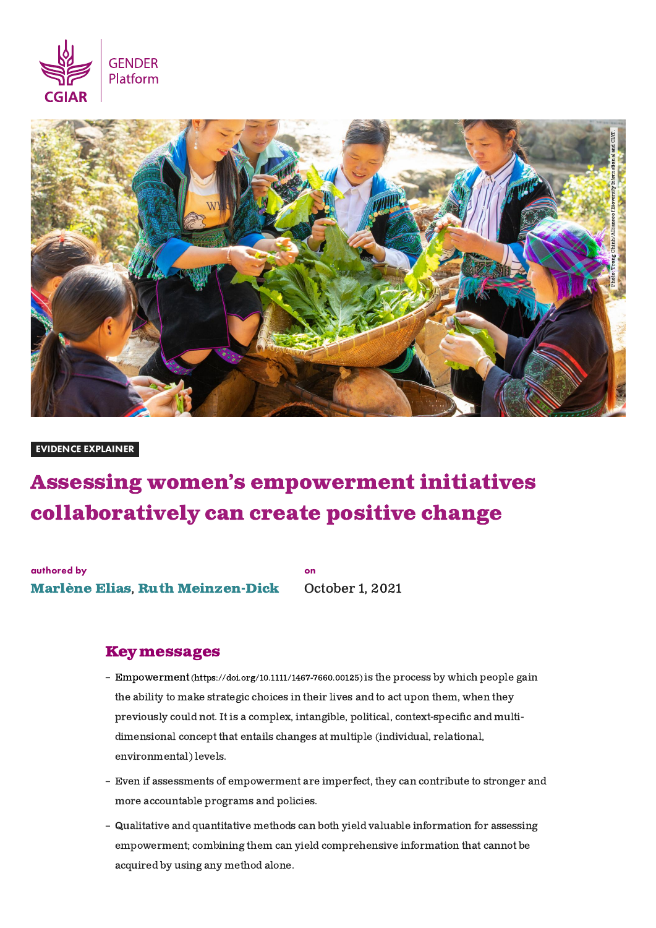



#### EVIDENCE EXPLAINER

# Assessing women's empowerment initiatives collaboratively can create positive change

on

authored by [Marlène](https://gender.cgiar.org/experts/marlene-elias) Elias, Ruth [Meinzen-Dick](https://gender.cgiar.org/experts/ruth-meinzen-dick)

October 1, 2021

## Keymessages

- Empowerment [\(https://doi.org/10.1111/1467-7660.00125\)](https://doi.org/10.1111/1467-7660.00125) is the process by which people gain the ability to make strategic choices in their lives and to act upon them, when they previously could not. It is a complex, intangible, political, context-specific and multidimensional concept that entails changes at multiple (individual, relational, environmental) levels.
- Even if assessments of empowerment are imperfect, they can contribute to stronger and more accountable programs and policies.
- Qualitative and quantitative methods can both yield valuable information for assessing empowerment; combining them can yield comprehensive information that cannot be acquired by using any method alone.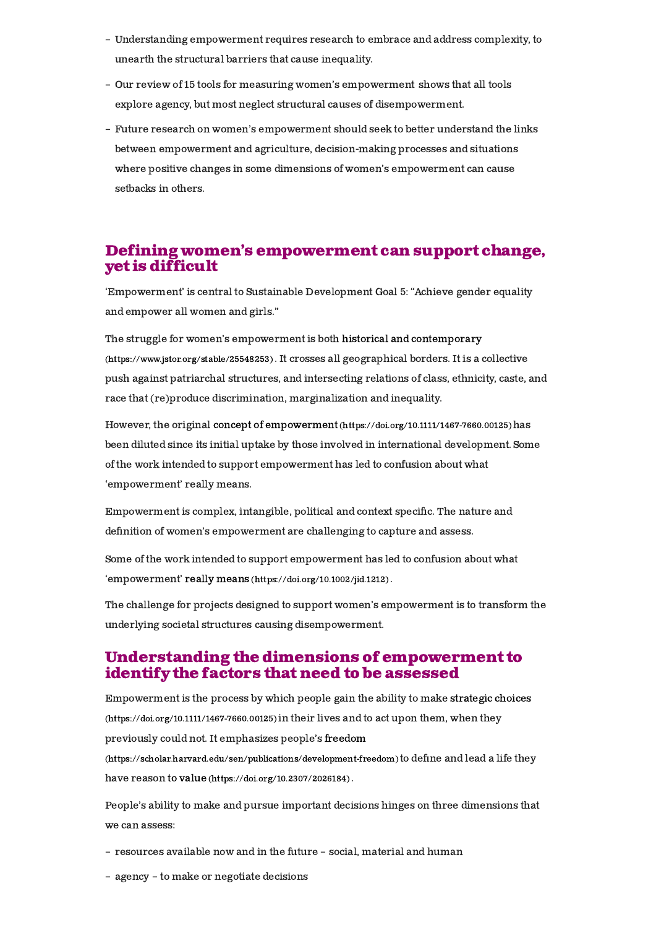- Understanding empowerment requires research to embrace and address complexity, to unearth the structural barriers that cause inequality.
- Our review of 15 tools for measuring women's empowerment shows that all tools explore agency, but most neglect structural causes of disempowerment.
- Future research on women's empowerment should seek to better understand the links between empowerment and agriculture, decision-making processes and situations where positive changes in some dimensions of women's empowerment can cause setbacks in others.

## Defining women's empowerment can support change, yet is difficult

'Empowerment' is central to Sustainable Development Goal 5: "Achieve gender equality and empower all women and girls."

The struggle for women's empowerment is both historical and contemporary [\(https://www.jstor.org/stable/25548253\)](https://www.jstor.org/stable/25548253) . It crosses all geographical borders. It is a collective push against patriarchal structures, and intersecting relations of class, ethnicity, caste, and race that (re)produce discrimination, marginalization and inequality.

However, the original concept of empowerment [\(https://doi.org/10.1111/1467-7660.00125\)](https://doi.org/10.1111/1467-7660.00125)has been diluted since its initial uptake by those involved in international development. Some of the work intended to support empowerment has led to confusion about what 'empowerment' really means.

Empowerment is complex, intangible, political and context specific. The nature and definition of women's empowerment are challenging to capture and assess.

Some of the work intended to support empowerment has led to confusion about what 'empowerment' really means [\(https://doi.org/10.1002/jid.1212\)](https://doi.org/10.1002/jid.1212) .

The challenge for projects designed to support women's empowerment is to transform the underlying societal structures causing disempowerment.

## Understanding the dimensions of empowerment to identifythe factors that need to be assessed

Empowerment is the process by which people gain the ability to make strategic choices [\(https://doi.org/10.1111/1467-7660.00125\)](https://doi.org/10.1111/1467-7660.00125) in their lives and to act upon them, when they previously could not. It emphasizes people's freedom

[\(https://scholar.harvard.edu/sen/publications/development-freedom\)](https://scholar.harvard.edu/sen/publications/development-freedom) to define and lead a life they have reason to value [\(https://doi.org/10.2307/2026184\)](https://doi.org/10.2307/2026184) .

People's ability to make and pursue important decisions hinges on three dimensions that we can assess:

- resources available now and in the future social, material and human
- agency to make or negotiate decisions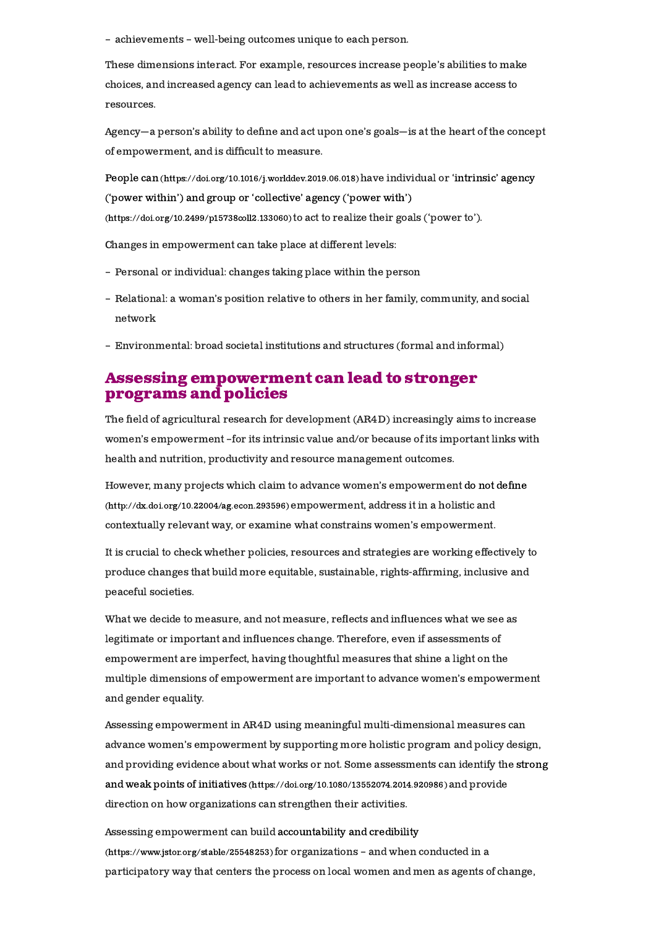– achievements – well-being outcomes unique to each person.

These dimensions interact. For example, resources increase people's abilities to make choices, and increased agency can lead to achievements as well as increase access to resources.

Agency—a person's ability to dene and act upon one's goals—is at the heart of the concept of empowerment, and is difficult to measure.

People can [\(https://doi.org/10.1016/j.worlddev.2019.06.018\)](https://doi.org/10.1016/j.worlddev.2019.06.018)have individual or 'intrinsic' agency ('power within') and group or 'collective' agency ('power with') (https://doi.org/10.2499/p15738coll2.133060) to act to realize their goals ('power to').

Changes in empowerment can take place at different levels:

- Personal or individual: changes taking place within the person
- Relational: a woman's position relative to others in her family, community, and social network
- Environmental: broad societal institutions and structures (formal and informal)

## Assessing empowerment can lead to stronger programs and policies

The field of agricultural research for development (AR4D) increasingly aims to increase women's empowerment –for its intrinsic value and/or because of its important links with health and nutrition, productivity and resource management outcomes.

However, many projects which claim to advance women's empowerment do not define [\(http://dx.doi.org/10.22004/ag.econ.293596\)](http://dx.doi.org/10.22004/ag.econ.293596) empowerment, address it in a holistic and contextually relevant way, or examine what constrains women's empowerment.

It is crucial to check whether policies, resources and strategies are working effectively to produce changes that build more equitable, sustainable, rights-affirming, inclusive and peaceful societies.

What we decide to measure, and not measure, reflects and influences what we see as legitimate or important and influences change. Therefore, even if assessments of empowerment are imperfect, having thoughtful measures that shine a light on the multiple dimensions of empowerment are important to advance women's empowerment and gender equality.

Assessing empowerment in AR4D using meaningful multi-dimensional measures can advance women's empowerment by supporting more holistic program and policy design, and providing evidence about what works or not. Some assessments can identify the strong and weak points of initiatives [\(https://doi.org/10.1080/13552074.2014.920986\)](https://doi.org/10.1080/13552074.2014.920986) and provide direction on how organizations can strengthen their activities.

Assessing empowerment can build accountability and credibility [\(https://www.jstor.org/stable/25548253\)](https://www.jstor.org/stable/25548253) for organizations – and when conducted in a participatory way that centers the process on local women and men as agents of change,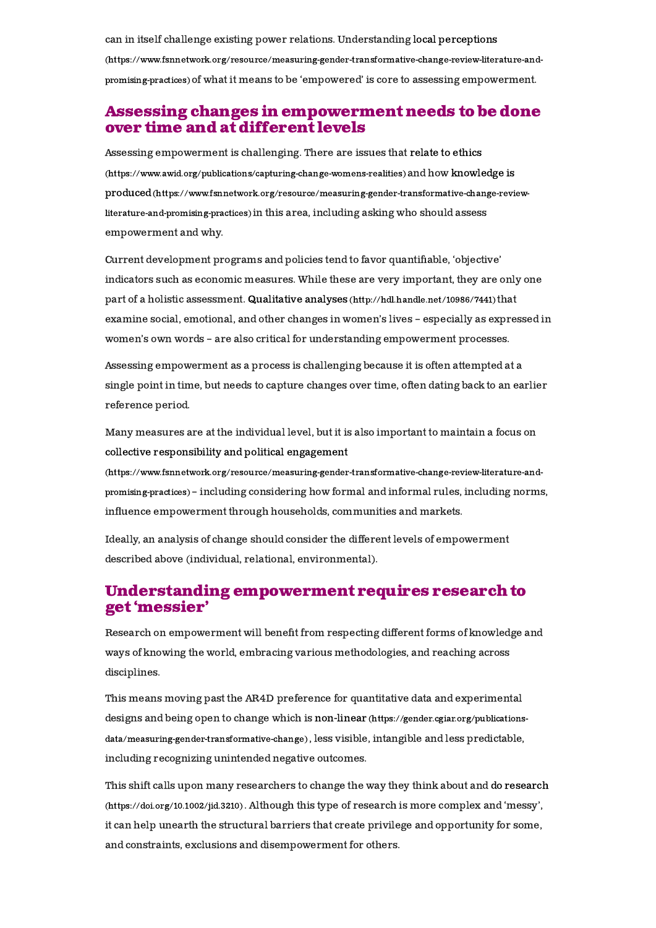can in itself challenge existing power relations. Understanding local perceptions [\(https://www.fsnnetwork.org/resource/measuring-gender-transformative-change-review-literature-and](https://www.fsnnetwork.org/resource/measuring-gender-transformative-change-review-literature-and-promising-practices)promising-practices)of what it means to be 'empowered' is core to assessing empowerment.

## Assessing changes in empowerment needs to be done over time and atdifferent levels

Assessing empowerment is challenging. There are issues that relate to ethics [\(https://www.awid.org/publications/capturing-change-womens-realities\)](https://www.awid.org/publications/capturing-change-womens-realities) and how knowledge is produced[\(https://www.fsnnetwork.org/resource/measuring-gender-transformative-change-review](https://www.fsnnetwork.org/resource/measuring-gender-transformative-change-review-literature-and-promising-practices)literature-and-promising-practices) in this area, including asking who should assess empowerment and why.

Current development programs and policies tend to favor quantiable, 'objective' indicators such as economic measures. While these are very important, they are only one part of a holistic assessment. Qualitative analyses [\(http://hdl.handle.net/10986/7441\)](http://hdl.handle.net/10986/7441) that examine social, emotional, and other changes in women's lives – especially as expressed in women's own words – are also critical for understanding empowerment processes.

Assessing empowerment as a process is challenging because it is often attempted at a single point in time, but needs to capture changes over time, often dating back to an earlier reference period.

Many measures are at the individual level, but it is also important to maintain a focus on collective responsibility and political engagement

[\(https://www.fsnnetwork.org/resource/measuring-gender-transformative-change-review-literature-and](https://www.fsnnetwork.org/resource/measuring-gender-transformative-change-review-literature-and-promising-practices)promising-practices) – including considering how formal and informal rules, including norms, influence empowerment through households, communities and markets.

Ideally, an analysis of change should consider the different levels of empowerment described above (individual, relational, environmental).

## Understanding empowerment requires research to get 'messier'

Research on empowerment will benefit from respecting different forms of knowledge and ways of knowing the world, embracing various methodologies, and reaching across disciplines.

This means moving past the AR4D preference for quantitative data and experimental designs and being open to change which is non-linear (https://gender.cgiar.org/publications[data/measuring-gender-transformative-change\)](https://gender.cgiar.org/publications-data/measuring-gender-transformative-change) , less visible, intangible and less predictable, including recognizing unintended negative outcomes.

This shift calls upon many researchers to change the way they think about and do research [\(https://doi.org/10.1002/jid.3210\)](https://doi.org/10.1002/jid.3210) . Although this type of research is more complex and 'messy', it can help unearth the structural barriers that create privilege and opportunity for some, and constraints, exclusions and disempowerment for others.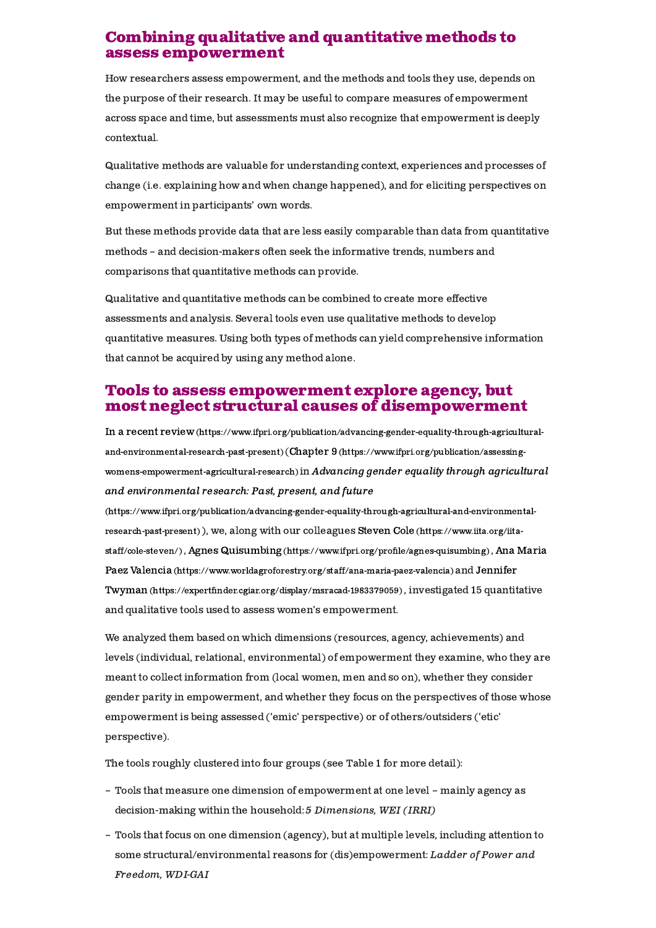## Combining qualitative and quantitative methods to assess empowerment

How researchers assess empowerment, and the methods and tools they use, depends on the purpose of their research. It may be useful to compare measures of empowerment across space and time, but assessments must also recognize that empowerment is deeply contextual.

Qualitative methods are valuable for understanding context, experiences and processes of change (i.e. explaining how and when change happened), and for eliciting perspectives on empowerment in participants' own words.

But these methods provide data that are less easily comparable than data from quantitative methods – and decision-makers often seek the informative trends, numbers and comparisons that quantitative methods can provide.

Qualitative and quantitative methods can be combined to create more effective assessments and analysis. Several tools even use qualitative methods to develop quantitative measures. Using both types of methods can yield comprehensive information that cannot be acquired by using any method alone.

## Tools to assess empowerment explore agency, but most neglect structural causes of disempowerment

In a recent review [\(https://www.ifpri.org/publication/advancing-gender-equality-through-agricultural](https://www.ifpri.org/publication/advancing-gender-equality-through-agricultural-and-environmental-research-past-present)and-environmental-research-past-present) (Chapter 9 (https://www.ifpri.org/publication/assessing[womens-empowerment-agricultural-research\)](https://www.ifpri.org/publication/assessing-womens-empowerment-agricultural-research) in Advancing gender equality through agricultural and environmental research: Past, present, and future

[\(https://www.ifpri.org/publication/advancing-gender-equality-through-agricultural-and-environmental](https://www.ifpri.org/publication/advancing-gender-equality-through-agricultural-and-environmental-research-past-present)research-past-present) ), we, along with our colleagues Steven Cole (https://www.iita.org/iitastaff/cole-steven/), Agnes Quisumbing(https://www.ifpri.org/profile/agnes-quisumbing), Ana Maria Paez Valencia [\(https://www.worldagroforestry.org/staff/ana-maria-paez-valencia\)](https://www.worldagroforestry.org/staff/ana-maria-paez-valencia) and Jennifer Twyman (https://expertfinder.cgiar.org/display/msracad-1983379059), investigated 15 quantitative and qualitative tools used to assess women's empowerment.

We analyzed them based on which dimensions (resources, agency, achievements) and levels (individual, relational, environmental) of empowerment they examine, who they are meant to collect information from (local women, men and so on), whether they consider gender parity in empowerment, and whether they focus on the perspectives of those whose empowerment is being assessed ('emic' perspective) or of others/outsiders ('etic' perspective).

The tools roughly clustered into four groups (see Table 1 for more detail):

- Tools that measure one dimension of empowerment at one level mainly agency as decision-making within the household: 5 Dimensions, WEI (IRRI)
- Tools that focus on one dimension (agency), but at multiple levels, including attention to –some structural/environmental reasons for (dis)empowerment: Ladder of Power and Freedom, WDI-GAI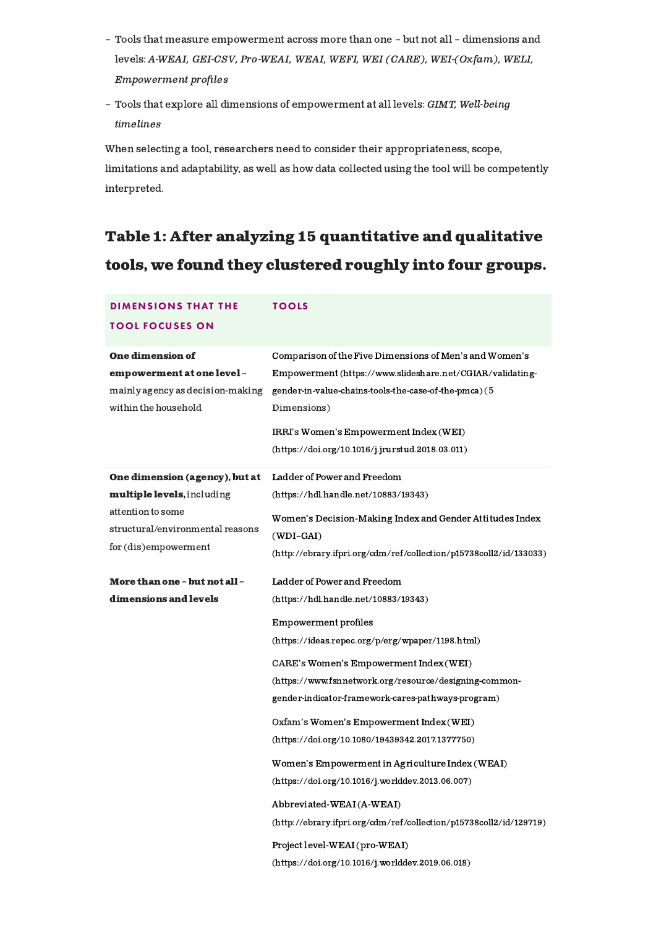- Tools that measure empowerment across more than one but not all dimensions and levels: A-WEAI, GEI-CSV, Pro-WEAI, WEAI, WEFI, WEI (CARE), WEI-(Oxfam), WELI, Empowerment profiles
- Tools that explore all dimensions of empowerment at all levels: *GIMT, Well-being* timelines

When selecting a tool, researchers need to consider their appropriateness, scope, limitations and adaptability, as well as how data collected using the tool will be competently interpreted.

## Table 1: After analyzing 15 quantitative and qualitative tools, we found they clustered roughly into four groups.

| <b>DIMENSIONS THAT THE</b>                                                                                                                    | <b>TOOLS</b>                                                                                                                                                                                                                                                                                                                                                                                                                                                                                                                                                                                                                                                                                          |
|-----------------------------------------------------------------------------------------------------------------------------------------------|-------------------------------------------------------------------------------------------------------------------------------------------------------------------------------------------------------------------------------------------------------------------------------------------------------------------------------------------------------------------------------------------------------------------------------------------------------------------------------------------------------------------------------------------------------------------------------------------------------------------------------------------------------------------------------------------------------|
| <b>TOOL FOCUSES ON</b>                                                                                                                        |                                                                                                                                                                                                                                                                                                                                                                                                                                                                                                                                                                                                                                                                                                       |
| <b>One dimension of</b><br>empowerment at one level -<br>mainly agency as decision-making<br>within the household                             | Comparison of the Five Dimensions of Men's and Women's<br>Empowerment (https://www.slideshare.net/CGIAR/validating-<br>gender-in-value-chains-tools-the-case-of-the-pmca)(5<br>Dimensions)<br>IRRI's Women's Empowerment Index (WEI)<br>(https://doi.org/10.1016/j.jrurstud.2018.03.011)                                                                                                                                                                                                                                                                                                                                                                                                              |
| One dimension (agency), but at<br>multiple levels, including<br>attention to some<br>structural/environmental reasons<br>for (dis)empowerment | Ladder of Power and Freedom<br>(https://hdl.handle.net/10883/19343)<br>Women's Decision-Making Index and Gender Attitudes Index<br>$(WDI-GAI)$<br>(http://ebrary.ifpri.org/cdm/ref/collection/p15738coll2/id/133033)                                                                                                                                                                                                                                                                                                                                                                                                                                                                                  |
| <b>More than one - but not all -</b><br>dimensions and levels                                                                                 | Ladder of Power and Freedom<br>(https://hdl.handle.net/10883/19343)<br>Empowerment profiles<br>(https://ideas.repec.org/p/erg/wpaper/1198.html)<br>CARE's Women's Empowerment Index (WEI)<br>(https://www.fsnnetwork.org/resource/designing-common-<br>gender-indicator-framework-cares-pathways-program)<br>Oxfam's Women's Empowerment Index (WEI)<br>(https://doi.org/10.1080/19439342.2017.1377750)<br>Women's Empowerment in Agriculture Index (WEAI)<br>(https://doi.org/10.1016/j.worlddev.2013.06.007)<br>Abbreviated-WEAI(A-WEAI)<br>(http://ebrary.ifpri.org/cdm/ref/collection/p15738coll2/id/129719)<br>Project level-WEAI (pro-WEAI)<br>(https://doi.org/10.1016/j.worlddev.2019.06.018) |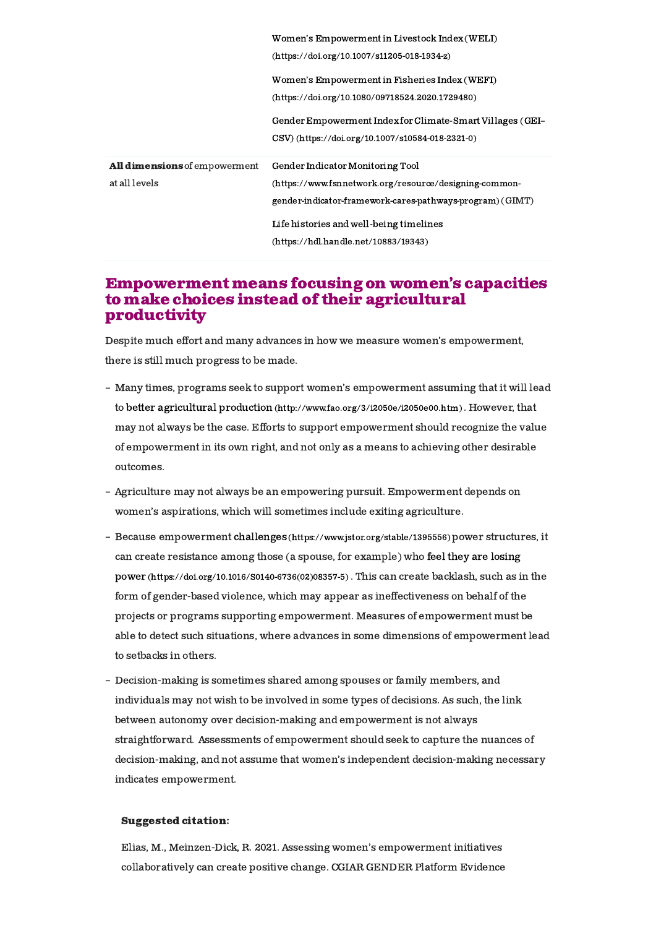|                                                | Women's Empowerment in Livestock Index (WELI)<br>$(htts://doi.org/10.1007/s11205-018-1934-z)$                                                           |
|------------------------------------------------|---------------------------------------------------------------------------------------------------------------------------------------------------------|
|                                                | Women's Empowerment in Fisheries Index (WEFI)<br>$(htips://doi.org/10.1080/09718524.2020.1729480)$                                                      |
|                                                | Gender Empowerment Index for Climate-Smart Villages (GEI-<br>CSV) (https://doi.org/10.1007/s10584-018-2321-0)                                           |
| All dimensions of empowerment<br>at all levels | Gender Indicator Monitoring Tool<br>(https://www.fsnnetwork.org/resource/designing-common-<br>gender-indicator-framework-cares-pathways-program) (GIMT) |
|                                                | Life histories and well-being timelines<br>(https://hdl.handle.net/10883/19343)                                                                         |

## **Empowerment means focusing on women's capacities** to make choices instead of their agricultural productivity

Despite much effort and many advances in how we measure women's empowerment, there is still much progress to be made.

- Many times, programs seek to support women's empowerment assuming that it will lead to better agricultural production [\(http://www.fao.org/3/i2050e/i2050e00.htm\)](http://www.fao.org/3/i2050e/i2050e00.htm) . However, that may not always be the case. Efforts to support empowerment should recognize the value of empowerment in its own right, and not only as a means to achieving other desirable outcomes.
- Agriculture may not always be an empowering pursuit. Empowerment depends on women's aspirations, which will sometimes include exiting agriculture.
- Because empowerment challenges [\(https://www.jstor.org/stable/1395556\)](https://www.jstor.org/stable/1395556) power structures, it can create resistance among those (a spouse, for example) who feel they are losing power [\(https://doi.org/10.1016/S0140-6736\(02\)08357-5\)](https://doi.org/10.1016/S0140-6736(02)08357-5) . This can create backlash, such as in the form of gender-based violence, which may appear as ineffectiveness on behalf of the projects or programs supporting empowerment. Measures of empowerment must be able to detect such situations, where advances in some dimensions of empowerment lead to setbacks in others.
- Decision-making is sometimes shared among spouses or family members, and individuals may not wish to be involved in some types of decisions. As such, the link between autonomy over decision-making and empowerment is not always straightforward. Assessments of empowerment should seek to capture the nuances of decision-making, and not assume that women's independent decision-making necessary indicates empowerment.

#### Suggested citation:

Elias, M., Meinzen-Dick, R. 2021. Assessing women's empowerment initiatives collaboratively can create positive change. CGIAR GENDER Platform Evidence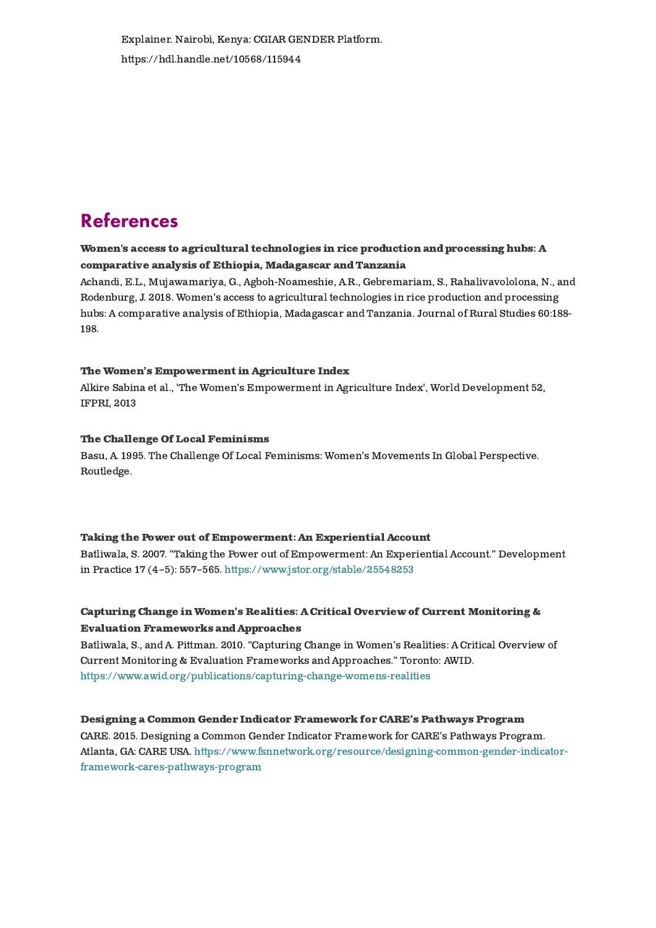Explainer. Nairobi, Kenya: CGIAR GENDER Platform. https://hdl.handle.net/10568/115944

## References

### Women's access to agricultural [technologies](https://gender.cgiar.org/publications-data/womens-access-agricultural-technologies-rice-production-and-processing-hubs) in rice production and processing hubs: A comparative analysis of Ethiopia, Madagascar and Tanzania

Achandi, E.L., Mujawamariya, G., [Agboh-Noameshie,](https://gender.cgiar.org/publications-data/womens-access-agricultural-technologies-rice-production-and-processing-hubs) A.R., Gebremariam, S., Rahalivavololona, N., and Rodenburg, J. 2018. Women's access to agricultural technologies in rice production and processing hubs: A comparative analysis of Ethiopia, Madagascar and Tanzania. Journal of Rural Studies 60:188- 198.

#### The Women's [Empowerment](https://gender.cgiar.org/publications-data/womens-empowerment-agriculture-index-1) in Agriculture Index

Alkire Sabina et al., 'The Women's Empowerment in Agriculture Index', World Development 52, IFPRI, 2013

#### The Challenge Of Local [Feminisms](https://gender.cgiar.org/publications-data/challenge-local-feminisms)

Basu, A. 1995. The Challenge Of Local Feminisms: Women's Movements In Global Perspective. Routledge.

#### Taking the Power out of [Empowerment:](https://gender.cgiar.org/publications-data/taking-power-out-empowerment-experiential-account) An Experiential Account

Batliwala, S. 2007. "Taking the Power out of Empowerment: An Experiential Account." Development in Practice 17 (4–5): 557–565. <https://www.jstor.org/stable/25548253>

#### Capturing Change in Women's Realities: A Critical Overview of Current Monitoring & Evaluation [Frameworks](https://gender.cgiar.org/publications-data/capturing-change-womens-realities-critical-overview-current-monitoring-evaluation) and Approaches

Batliwala, S., and A. Pittman. 2010. "Capturing Change in Women's Realities: A Critical Overview of Current Monitoring & Evaluation Frameworks and Approaches." Toronto: AWID. <https://www.awid.org/publications/capturing-change-womens-realities>

#### Designing a Common Gender Indicator [Framework](https://gender.cgiar.org/publications-data/designing-common-gender-indicator-framework-cares-pathways-program) for CARE's Pathways Program

CARE. 2015. Designing a Common Gender Indicator Framework for CARE's Pathways Program. Atlanta, GA: CARE USA. [https://www.fsnnetwork.org/resource/designing-common-gender-indicator](https://www.fsnnetwork.org/resource/designing-common-gender-indicator-framework-cares-pathways-program)framework-cares-pathways-program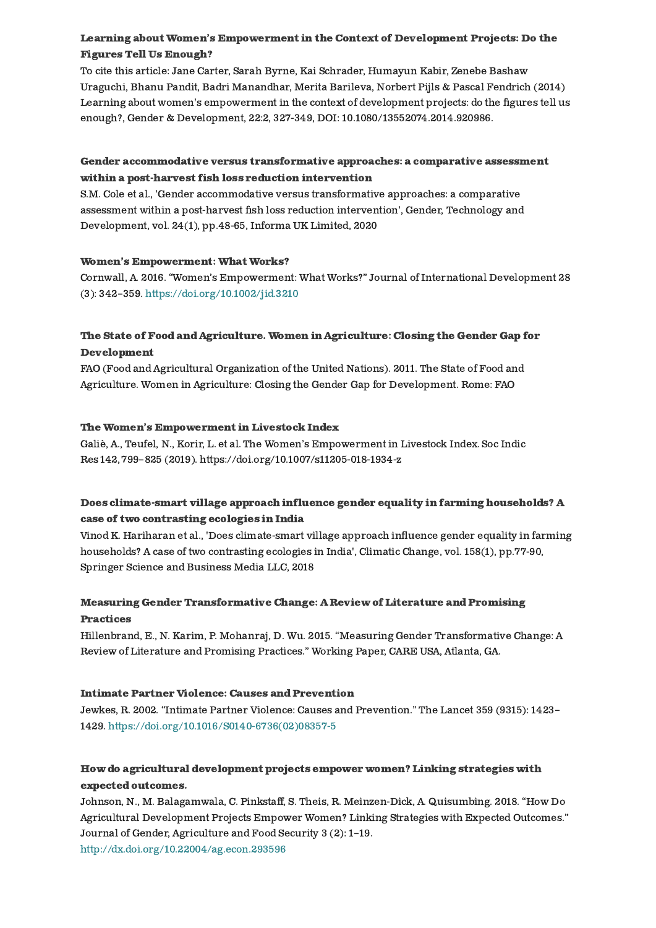## Learning about Women's [Empowerment](https://gender.cgiar.org/publications-data/learning-about-womens-empowerment-context-development-projects-do-figures-tell-us) in the Context of Development Projects: Do the Figures Tell Us Enough?

To cite this article: Jane Carter, Sarah Byrne, Kai Schrader, Humayun Kabir, Zenebe Bashaw Uraguchi, Bhanu Pandit, Badri Manandhar, Merita Barileva, Norbert Pijls & Pascal Fendrich (2014) Learning about women's empowerment in the context of development projects: do the figures tell us enough?, Gender & Development, 22:2, 327-349, DOI: [10.1080/13552074.2014.920986.](https://gender.cgiar.org/publications-data/learning-about-womens-empowerment-context-development-projects-do-figures-tell-us)

## Gender [accommodative](https://gender.cgiar.org/publications-data/gender-accommodative-versus-transformative-approaches-comparative-assessment-1) versus transformative approaches: a comparative assessment within a post-harvest fish loss reduction intervention

S.M. Cole et al., 'Gender accommodative versus transformative approaches: a comparative assessment within a post-harvest fish loss reduction intervention', Gender, Technology and Development, vol. 24(1), pp.48-65, Informa UK Limited, 2020

#### Women's [Empowerment:](https://gender.cgiar.org/publications-data/womens-empowerment-what-works) What Works?

Cornwall, A. 2016. "Women's Empowerment: What Works?" Journal of International Development 28 (3): 342–359. <https://doi.org/10.1002/jid.3210>

## The State of Food and Agriculture. Women in Agriculture: Closing the Gender Gap for [Development](https://gender.cgiar.org/publications-data/state-food-and-agriculture-women-agriculture-closing-gender-gap-development)

FAO (Food and Agricultural Organization of the United Nations). 2011. The State of Food and Agriculture. Women in Agriculture: Closing the Gender Gap for Development. Rome: FAO

#### The Women's [Empowerment](https://gender.cgiar.org/publications-data/womens-empowerment-livestock-index-0) in Livestock Index

Galiè, A., Teufel, N., Korir, L. et al.The Women's Empowerment in Livestock Index. Soc Indic Res 142, 799–825 (2019). [https://doi.org/10.1007/s11205-018-1934-z](https://gender.cgiar.org/publications-data/womens-empowerment-livestock-index-0)

## Does [climate-smart](https://gender.cgiar.org/publications-data/does-climate-smart-village-approach-influence-gender-equality-farming-households) village approach influence gender equality in farming households? A case of two contrasting ecologies in India

Vinod K. Hariharan et al., 'Does climate-smart village approach influence gender equality in farming households? A case of two contrasting ecologies in India', Climatic Change, vol. 158(1), pp.77-90, Springer Science and Business Media LLC, 2018

## Measuring Gender [Transformative](https://gender.cgiar.org/publications-data/measuring-gender-transformative-change-review-literature-and-promising-0) Change: A Review of Literature and Promising Practices

Hillenbrand, E., N. Karim, P. Mohanraj, D. Wu. 2015. "Measuring Gender Transformative Change: A Review of Literature and Promising Practices." Working Paper, CARE USA, Atlanta, GA.

#### Intimate Partner Violence: Causes and [Prevention](https://gender.cgiar.org/publications-data/intimate-partner-violence-causes-and-prevention)

Jewkes, R. 2002. "Intimate Partner Violence: Causes and Prevention." The Lancet 359 (9315): 1423– 1429. [https://doi.org/10.1016/S0140-6736\(02\)08357-5](https://doi.org/10.1016/S0140-6736(02)08357-5)

## How do agricultural [development](https://gender.cgiar.org/publications-data/how-do-agricultural-development-projects-empower-women-linking-strategies-0) projects empower women? Linking strategies with expected outcomes.

Johnson, N., M. Balagamwala, C. Pinkstaff, S. Theis, R. Meinzen-Dick, A. Quisumbing. 2018. "How Do Agricultural Development Projects Empower Women? Linking Strategies with Expected Outcomes." Journal of Gender, Agriculture and Food Security 3 (2): 1–19. <http://dx.doi.org/10.22004/ag.econ.293596>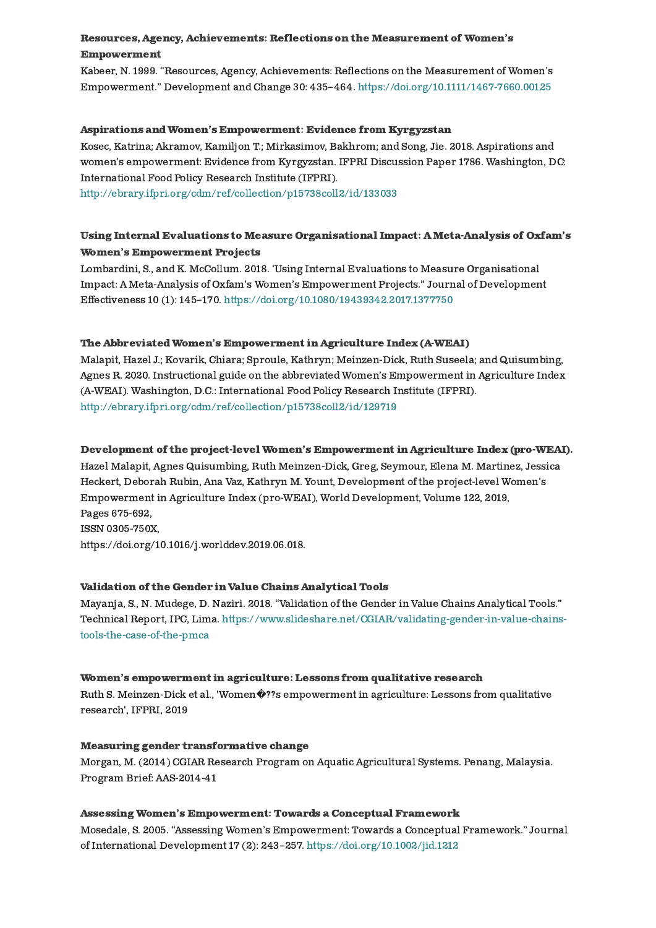#### Resources, Agency, Achievements: Reflections on the Measurement of Women's [Empowerment](https://gender.cgiar.org/publications-data/resources-agency-achievements-reflections-measurement-womens-empowerment)

Kabeer, N. 1999. "Resources, Agency, Achievements: Reflections on the Measurement of Women's Empowerment." Development and Change 30: 435–464. <https://doi.org/10.1111/1467-7660.00125>

#### Aspirations andWomen's [Empowerment:](https://gender.cgiar.org/publications-data/aspirations-and-womens-empowerment-evidence-kyrgyzstan-1) Evidence from Kyrgyzstan

Kosec, Katrina; Akramov, Kamiljon T.; Mirkasimov, Bakhrom; and Song, Jie. 2018. Aspirations and women's empowerment: Evidence from Kyrgyzstan. IFPRI Discussion Paper 1786. Washington, DC: International Food Policy Research Institute (IFPRI).

<http://ebrary.ifpri.org/cdm/ref/collection/p15738coll2/id/133033>

### Using Internal Evaluations to Measure Organisational Impact: [AMeta-Analysis](https://gender.cgiar.org/publications-data/using-internal-evaluations-measure-organisational-impact-meta-analysis-oxfams) of Oxfam's Women's Empowerment Projects

Lombardini, S., and K. McCollum. 2018. 'Using Internal Evaluations to Measure Organisational Impact: A Meta-Analysis of Oxfam's Women's Empowerment Projects." Journal of Development Effectiveness 10 (1): 145–170. <https://doi.org/10.1080/19439342.2017.1377750>

#### The Abbreviated Women's Empowerment in Agriculture Index (A-WEAI)

Malapit, Hazel J.; Kovarik, Chiara; Sproule, Kathryn; Meinzen-Dick, Ruth Suseela; and Quisumbing, Agnes R. 2020. Instructional guide on the abbreviated Women's Empowerment in Agriculture Index (A-WEAI). Washington, D.C.: International Food Policy Research Institute (IFPRI). <http://ebrary.ifpri.org/cdm/ref/collection/p15738coll2/id/129719>

#### Development of the project-level Women's [Empowerment](https://gender.cgiar.org/publications-data/development-project-level-womens-empowerment-agriculture-index-pro-weai-1) in Agriculture Index (pro-WEAI).

Hazel Malapit, Agnes Quisumbing, Ruth Meinzen-Dick, Greg, Seymour, Elena M. Martinez, Jessica Heckert, Deborah Rubin, Ana Vaz, Kathryn M. Yount, Development of the project-level Women's Empowerment in Agriculture Index (pro-WEAI), World Development, Volume 122, 2019, Pages 675-692, ISSN 0305-750X, [https://doi.org/10.1016/j.worlddev.2019.06.018.](https://gender.cgiar.org/publications-data/development-project-level-womens-empowerment-agriculture-index-pro-weai-1)

#### [Validation](https://gender.cgiar.org/publications-data/validation-gender-value-chains-analytical-tools) of the Gender in Value Chains Analytical Tools

Mayanja, S., N. Mudege, D. Naziri. 2018. "Validation of the Gender in Value Chains Analytical Tools." Technical Report, IPC, Lima. [https://www.slideshare.net/CGIAR/validating-gender-in-value-chains](https://www.slideshare.net/CGIAR/validating-gender-in-value-chains-tools-the-case-of-the-pmca)tools-the-case-of-the-pmca

#### Women's [empowerment](https://gender.cgiar.org/publications-data/womens-empowerment-agriculture-lessons-qualitative-research-0) in agriculture: Lessons from qualitative research

Ruth S. Meinzen-Dick et al., 'Women�??s empowerment in agriculture: Lessons from qualitative research', IFPRI, 2019

#### Measuring gender [transformative](https://gender.cgiar.org/publications-data/measuring-gender-transformative-change) change

Morgan, M. (2014) CGIAR Research Program on Aquatic Agricultural Systems. Penang, Malaysia. Program Brief: AAS-2014-41

#### Assessing Women's [Empowerment:](https://gender.cgiar.org/publications-data/assessing-womens-empowerment-towards-conceptual-framework) Towards a Conceptual Framework

Mosedale, S. 2005. "Assessing Women's Empowerment: Towards a Conceptual Framework." Journal of International Development 17 (2): 243–257. <https://doi.org/10.1002/jid.1212>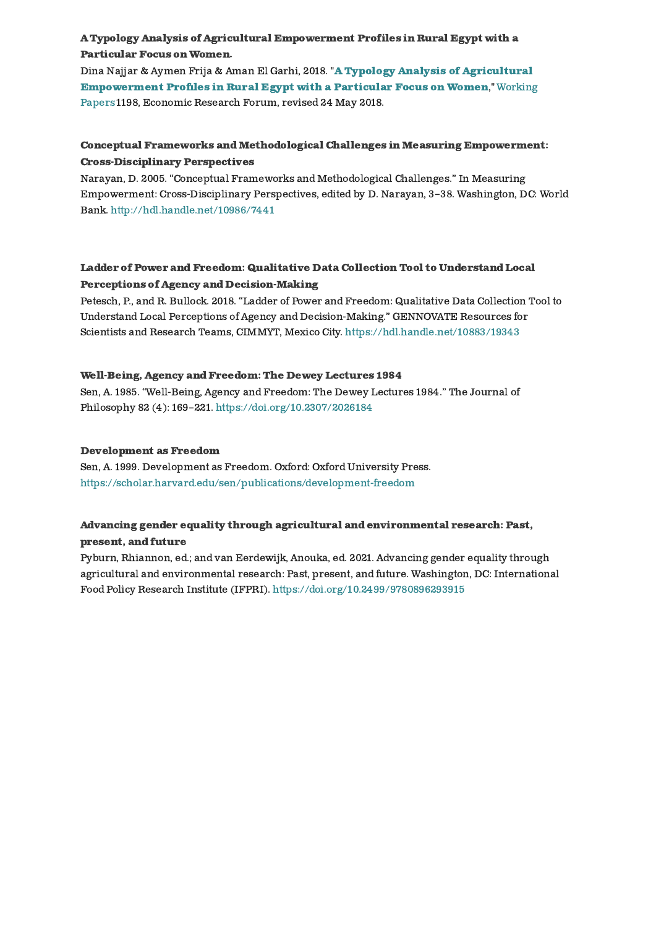### A Typology Analysis of Agricultural [Empowerment](https://gender.cgiar.org/publications-data/typology-analysis-agricultural-empowerment-profiles-rural-egypt-particular-focus) Profiles in Rural Egypt with a Particular Focus on Women.

Dina Najjar & Aymen Frija & Aman El Garhi, 2018. "A Typology Analysis of Agricultural **[Empowerment](https://ideas.repec.org/p/erg/wpaper/1198.html) Profiles in Rural Egypt with a Particular Focus on Women,"** Working Papers 1198, Economic Research Forum, revised 24 May 2018.

#### Conceptual Frameworks [andMethodological](https://gender.cgiar.org/publications-data/conceptual-frameworks-and-methodological-challenges-measuring-empowerment-cross) Challenges in Measuring Empowerment: Cross-Disciplinary Perspectives

Narayan, D. 2005. "Conceptual Frameworks and Methodological Challenges." In Measuring Empowerment: Cross-Disciplinary Perspectives, edited by D. Narayan, 3–38. Washington, DC: World Bank. <http://hdl.handle.net/10986/7441>

## Ladder of Power and Freedom: Qualitative Data Collection Tool to Understand Local Perceptions of Agency and [Decision-Making](https://gender.cgiar.org/publications-data/ladder-power-and-freedom-qualitative-data-collection-tool-understand-local-0)

Petesch, P., and R. Bullock. 2018. "Ladder of Power and Freedom: Qualitative Data Collection Tool to Understand Local Perceptions of Agency and Decision-Making." GENNOVATE Resources for Scientists and Research Teams, CIMMYT, Mexico City. <https://hdl.handle.net/10883/19343>

#### [Well-Being,](https://gender.cgiar.org/publications-data/well-being-agency-and-freedom-dewey-lectures-1984) Agency and Freedom: The Dewey Lectures 1984

Sen, A. 1985. "Well-Being, Agency and Freedom: The Dewey Lectures 1984." The Journal of Philosophy 82 (4): 169–221. <https://doi.org/10.2307/2026184>

#### [Development](https://gender.cgiar.org/publications-data/development-freedom) as Freedom

Sen, A. 1999. Development as Freedom. Oxford: Oxford University Press. <https://scholar.harvard.edu/sen/publications/development-freedom>

## Advancing gender equality through agricultural and [environmental](https://gender.cgiar.org/publications-data/advancing-gender-equality-through-agricultural-and-environmental-research-past) research: Past, present, and future

Pyburn, Rhiannon, ed.; and van Eerdewijk, Anouka, ed. 2021. Advancing gender equality through agricultural and environmental research: Past, present, and future. Washington, DC: International Food Policy Research Institute (IFPRI). <https://doi.org/10.2499/9780896293915>